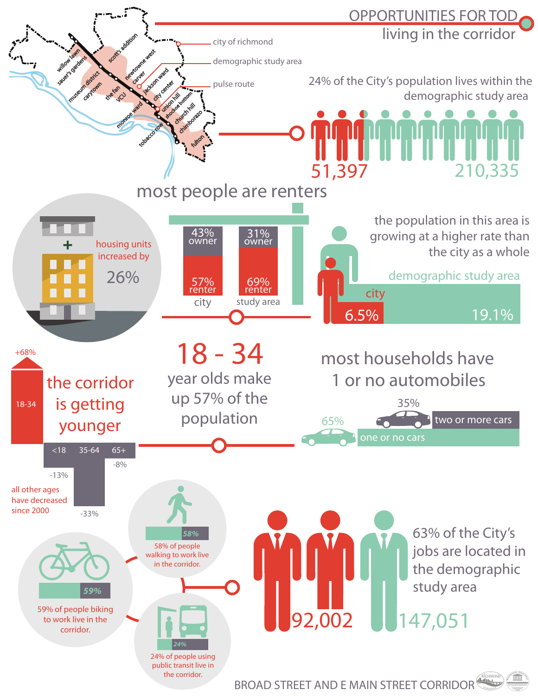

BROAD STREET AND E MAIN STREET CORRIDOR